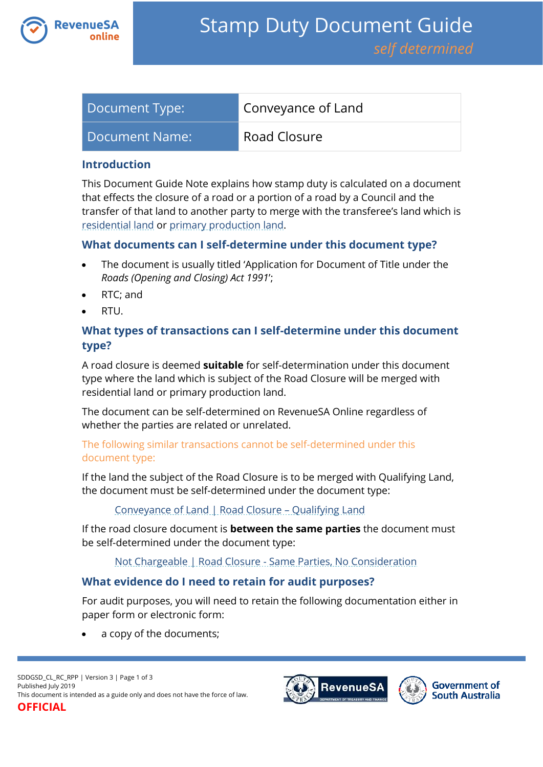

| Document Type: | Conveyance of Land |
|----------------|--------------------|
| Document Name: | Road Closure       |

### **Introduction**

This Document Guide Note explains how stamp duty is calculated on a document that effects the closure of a road or a portion of a road by a Council and the transfer of that land to another party to merge with the transferee's land which is [residential land](https://www.revenuesa.sa.gov.au/stampduty/stamp-duty-document-guide#RR&PP) or [primary production land.](https://www.revenuesa.sa.gov.au/stampduty/stamp-duty-document-guide#RR&PP)

## **What documents can I self-determine under this document type?**

- The document is usually titled 'Application for Document of Title under the *Roads (Opening and Closing) Act 1991*';
- RTC; and
- RTU.

# **What types of transactions can I self-determine under this document type?**

A road closure is deemed **suitable** for self-determination under this document type where the land which is subject of the Road Closure will be merged with residential land or primary production land.

The document can be self-determined on RevenueSA Online regardless of whether the parties are related or unrelated.

## The following similar transactions cannot be self-determined under this document type:

If the land the subject of the Road Closure is to be merged with Qualifying Land, the document must be self-determined under the document type:

### [Conveyance of Land | Road Closure](https://www.revenuesa.sa.gov.au/stampduty/stamp-duty-document-guide/self-determined/conveyance-of-land/sddgsd_cl_rc_ql) – Qualifying Land

If the road closure document is **between the same parties** the document must be self-determined under the document type:

### [Not Chargeable | Road Closure -](https://www.revenuesa.sa.gov.au/stampduty/stamp-duty-document-guide/self-determined/not-chargeable/sddgsd_nc_rc) Same Parties, No Consideration

## **What evidence do I need to retain for audit purposes?**

For audit purposes, you will need to retain the following documentation either in paper form or electronic form:

a copy of the documents;



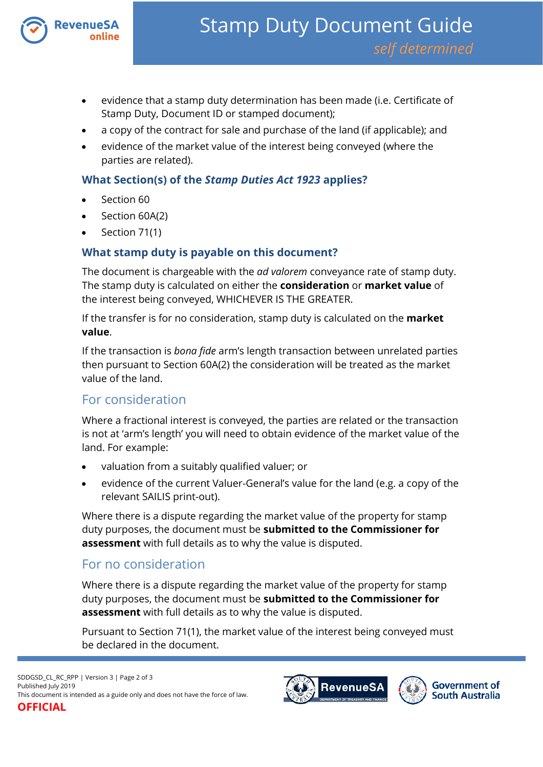

- evidence that a stamp duty determination has been made (i.e. Certificate of Stamp Duty, Document ID or stamped document);
- a copy of the contract for sale and purchase of the land (if applicable); and
- evidence of the market value of the interest being conveyed (where the parties are related).

# **What Section(s) of the** *Stamp Duties Act 1923* **applies?**

- Section 60
- Section 60A(2)
- Section 71(1)

# **What stamp duty is payable on this document?**

The document is chargeable with the *ad valorem* conveyance rate of stamp duty. The stamp duty is calculated on either the **consideration** or **market value** of the interest being conveyed, WHICHEVER IS THE GREATER.

If the transfer is for no consideration, stamp duty is calculated on the **market value**.

If the transaction is *bona fide* arm's length transaction between unrelated parties then pursuant to Section 60A(2) the consideration will be treated as the market value of the land.

# For consideration

Where a fractional interest is conveyed, the parties are related or the transaction is not at 'arm's length' you will need to obtain evidence of the market value of the land. For example:

- valuation from a suitably qualified valuer; or
- evidence of the current Valuer-General's value for the land (e.g. a copy of the relevant SAILIS print-out).

Where there is a dispute regarding the market value of the property for stamp duty purposes, the document must be **submitted to the Commissioner for assessment** with full details as to why the value is disputed.

# For no consideration

Where there is a dispute regarding the market value of the property for stamp duty purposes, the document must be **submitted to the Commissioner for assessment** with full details as to why the value is disputed.

Pursuant to Section 71(1), the market value of the interest being conveyed must be declared in the document.